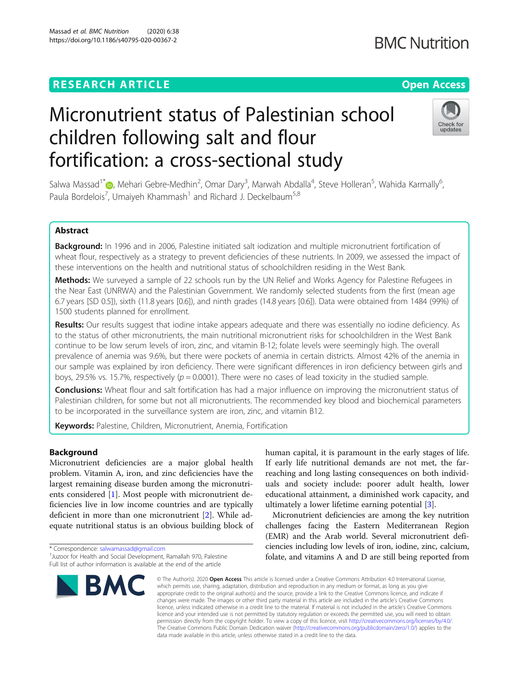# Micronutrient status of Palestinian school children following salt and flour fortification: a cross-sectional study

Salwa Massad<sup>1[\\*](http://orcid.org/0000-0002-2694-6633)</sup>�, Mehari Gebre-Medhin<sup>2</sup>, Omar Dary<sup>3</sup>, Marwah Abdalla<sup>4</sup>, Steve Holleran<sup>5</sup>, Wahida Karmally<sup>6</sup> , Paula Bordelois<sup>7</sup>, Umaiyeh Khammash<sup>1</sup> and Richard J. Deckelbaum<sup>5,8</sup>

# Abstract

Background: In 1996 and in 2006, Palestine initiated salt iodization and multiple micronutrient fortification of wheat flour, respectively as a strategy to prevent deficiencies of these nutrients. In 2009, we assessed the impact of these interventions on the health and nutritional status of schoolchildren residing in the West Bank.

Methods: We surveyed a sample of 22 schools run by the UN Relief and Works Agency for Palestine Refugees in the Near East (UNRWA) and the Palestinian Government. We randomly selected students from the first (mean age 6.7 years [SD 0.5]), sixth (11.8 years [0.6]), and ninth grades (14.8 years [0.6]). Data were obtained from 1484 (99%) of 1500 students planned for enrollment.

Results: Our results suggest that iodine intake appears adequate and there was essentially no iodine deficiency. As to the status of other micronutrients, the main nutritional micronutrient risks for schoolchildren in the West Bank continue to be low serum levels of iron, zinc, and vitamin B-12; folate levels were seemingly high. The overall prevalence of anemia was 9.6%, but there were pockets of anemia in certain districts. Almost 42% of the anemia in our sample was explained by iron deficiency. There were significant differences in iron deficiency between girls and boys, 29.5% vs. 15.7%, respectively ( $p = 0.0001$ ). There were no cases of lead toxicity in the studied sample.

Conclusions: Wheat flour and salt fortification has had a major influence on improving the micronutrient status of Palestinian children, for some but not all micronutrients. The recommended key blood and biochemical parameters to be incorporated in the surveillance system are iron, zinc, and vitamin B12.

Keywords: Palestine, Children, Micronutrient, Anemia, Fortification

# Background

Micronutrient deficiencies are a major global health problem. Vitamin A, iron, and zinc deficiencies have the largest remaining disease burden among the micronutrients considered [\[1](#page-6-0)]. Most people with micronutrient deficiencies live in low income countries and are typically deficient in more than one micronutrient [\[2](#page-6-0)]. While adequate nutritional status is an obvious building block of

\* Correspondence: [salwamassad@gmail.com](mailto:salwamassad@gmail.com) <sup>1</sup>

human capital, it is paramount in the early stages of life. If early life nutritional demands are not met, the farreaching and long lasting consequences on both individuals and society include: poorer adult health, lower educational attainment, a diminished work capacity, and ultimately a lower lifetime earning potential [\[3](#page-6-0)].

Micronutrient deficiencies are among the key nutrition challenges facing the Eastern Mediterranean Region (EMR) and the Arab world. Several micronutrient deficiencies including low levels of iron, iodine, zinc, calcium, folate, and vitamins A and D are still being reported from

© The Author(s), 2020 **Open Access** This article is licensed under a Creative Commons Attribution 4.0 International License, which permits use, sharing, adaptation, distribution and reproduction in any medium or format, as long as you give appropriate credit to the original author(s) and the source, provide a link to the Creative Commons licence, and indicate if changes were made. The images or other third party material in this article are included in the article's Creative Commons licence, unless indicated otherwise in a credit line to the material. If material is not included in the article's Creative Commons licence and your intended use is not permitted by statutory regulation or exceeds the permitted use, you will need to obtain permission directly from the copyright holder. To view a copy of this licence, visit [http://creativecommons.org/licenses/by/4.0/.](http://creativecommons.org/licenses/by/4.0/) The Creative Commons Public Domain Dedication waiver [\(http://creativecommons.org/publicdomain/zero/1.0/](http://creativecommons.org/publicdomain/zero/1.0/)) applies to the data made available in this article, unless otherwise stated in a credit line to the data.







<sup>&</sup>lt;sup>1</sup> Juzoor for Health and Social Development, Ramallah 970, Palestine Full list of author information is available at the end of the article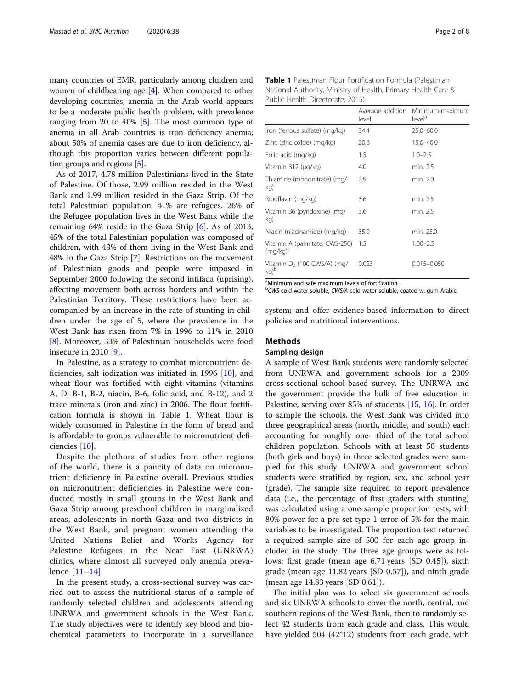many countries of EMR, particularly among children and women of childbearing age [\[4\]](#page-6-0). When compared to other developing countries, anemia in the Arab world appears to be a moderate public health problem, with prevalence ranging from 20 to 40% [[5\]](#page-6-0). The most common type of anemia in all Arab countries is iron deficiency anemia; about 50% of anemia cases are due to iron deficiency, although this proportion varies between different population groups and regions [\[5](#page-6-0)].

As of 2017, 4.78 million Palestinians lived in the State of Palestine. Of those, 2.99 million resided in the West Bank and 1.99 million resided in the Gaza Strip. Of the total Palestinian population, 41% are refugees. 26% of the Refugee population lives in the West Bank while the remaining 64% reside in the Gaza Strip [[6\]](#page-6-0). As of 2013, 45% of the total Palestinian population was composed of children, with 43% of them living in the West Bank and 48% in the Gaza Strip [[7\]](#page-6-0). Restrictions on the movement of Palestinian goods and people were imposed in September 2000 following the second intifada (uprising), affecting movement both across borders and within the Palestinian Territory. These restrictions have been accompanied by an increase in the rate of stunting in children under the age of 5, where the prevalence in the West Bank has risen from 7% in 1996 to 11% in 2010 [[8\]](#page-6-0). Moreover, 33% of Palestinian households were food insecure in 2010 [\[9](#page-6-0)].

In Palestine, as a strategy to combat micronutrient deficiencies, salt iodization was initiated in 1996 [[10](#page-6-0)], and wheat flour was fortified with eight vitamins (vitamins A, D, B-1, B-2, niacin, B-6, folic acid, and B-12), and 2 trace minerals (iron and zinc) in 2006. The flour fortification formula is shown in Table 1. Wheat flour is widely consumed in Palestine in the form of bread and is affordable to groups vulnerable to micronutrient deficiencies [[10\]](#page-6-0).

Despite the plethora of studies from other regions of the world, there is a paucity of data on micronutrient deficiency in Palestine overall. Previous studies on micronutrient deficiencies in Palestine were conducted mostly in small groups in the West Bank and Gaza Strip among preschool children in marginalized areas, adolescents in north Gaza and two districts in the West Bank, and pregnant women attending the United Nations Relief and Works Agency for Palestine Refugees in the Near East (UNRWA) clinics, where almost all surveyed only anemia prevalence [[11](#page-6-0)–[14\]](#page-6-0).

In the present study, a cross-sectional survey was carried out to assess the nutritional status of a sample of randomly selected children and adolescents attending UNRWA and government schools in the West Bank. The study objectives were to identify key blood and biochemical parameters to incorporate in a surveillance

| <b>Table 1</b> Palestinian Flour Fortification Formula (Palestinian |  |
|---------------------------------------------------------------------|--|
| National Authority, Ministry of Health, Primary Health Care &       |  |
| Public Health Directorate, 2015)                                    |  |

|                                                      | Average addition<br>level | Minimum-maximum<br>level <sup>a</sup> |  |  |
|------------------------------------------------------|---------------------------|---------------------------------------|--|--|
| Iron (ferrous sulfate) (mg/kg)                       | 34.4                      | $25.0 - 60.0$                         |  |  |
| Zinc (zinc oxide) (mg/kg)                            | 20.6                      | 15.0-40.0                             |  |  |
| Folic acid (mg/kg)                                   | 1.5                       | $1.0 - 2.5$                           |  |  |
| Vitamin B12 (µg/kg)                                  | 4.0                       | min. 2.5                              |  |  |
| Thiamine (mononitrate) (mg/<br>kg)                   | 2.9                       | min. 2.0                              |  |  |
| Riboflavin (mg/kg)                                   | 3.6                       | min. 2.5                              |  |  |
| Vitamin B6 (pyridoxine) (mg/<br>kg)                  | 3.6                       | min. 2.5                              |  |  |
| Niacin (niacinamide) (mg/kg)                         | 35.0                      | min. 25.0                             |  |  |
| Vitamin A (palmitate, CWS-250)<br>$(mq/kg)^b$        | 1.5                       | $1.00 - 2.5$                          |  |  |
| Vitamin $D_3$ (100 CWS/A) (mg/<br>$kg)$ <sup>b</sup> | 0.023                     | $0.015 - 0.050$                       |  |  |

<sup>a</sup>Minimum and safe maximum levels of fortification

<sup>b</sup>CWS cold water soluble, CWS/A cold water soluble, coated w. gum Arabic

system; and offer evidence-based information to direct policies and nutritional interventions.

# Methods

# Sampling design

A sample of West Bank students were randomly selected from UNRWA and government schools for a 2009 cross-sectional school-based survey. The UNRWA and the government provide the bulk of free education in Palestine, serving over 85% of students [\[15,](#page-6-0) [16](#page-6-0)]. In order to sample the schools, the West Bank was divided into three geographical areas (north, middle, and south) each accounting for roughly one- third of the total school children population. Schools with at least 50 students (both girls and boys) in three selected grades were sampled for this study. UNRWA and government school students were stratified by region, sex, and school year (grade). The sample size required to report prevalence data (i.e., the percentage of first graders with stunting) was calculated using a one-sample proportion tests, with 80% power for a pre-set type 1 error of 5% for the main variables to be investigated. The proportion test returned a required sample size of 500 for each age group included in the study. The three age groups were as follows: first grade (mean age 6.71 years [SD 0.45]), sixth grade (mean age 11.82 years [SD 0.57]), and ninth grade (mean age 14.83 years [SD 0.61]).

The initial plan was to select six government schools and six UNRWA schools to cover the north, central, and southern regions of the West Bank, then to randomly select 42 students from each grade and class. This would have yielded 504 (42\*12) students from each grade, with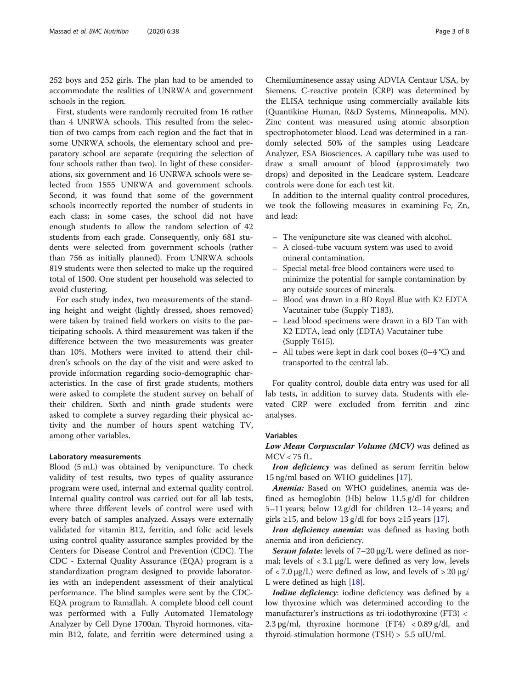252 boys and 252 girls. The plan had to be amended to accommodate the realities of UNRWA and government schools in the region.

First, students were randomly recruited from 16 rather than 4 UNRWA schools. This resulted from the selection of two camps from each region and the fact that in some UNRWA schools, the elementary school and preparatory school are separate (requiring the selection of four schools rather than two). In light of these considerations, six government and 16 UNRWA schools were selected from 1555 UNRWA and government schools. Second, it was found that some of the government schools incorrectly reported the number of students in each class; in some cases, the school did not have enough students to allow the random selection of 42 students from each grade. Consequently, only 681 students were selected from government schools (rather than 756 as initially planned). From UNRWA schools 819 students were then selected to make up the required total of 1500. One student per household was selected to avoid clustering.

For each study index, two measurements of the standing height and weight (lightly dressed, shoes removed) were taken by trained field workers on visits to the participating schools. A third measurement was taken if the difference between the two measurements was greater than 10%. Mothers were invited to attend their children's schools on the day of the visit and were asked to provide information regarding socio-demographic characteristics. In the case of first grade students, mothers were asked to complete the student survey on behalf of their children. Sixth and ninth grade students were asked to complete a survey regarding their physical activity and the number of hours spent watching TV, among other variables.

#### Laboratory measurements

Blood (5 mL) was obtained by venipuncture. To check validity of test results, two types of quality assurance program were used, internal and external quality control. Internal quality control was carried out for all lab tests, where three different levels of control were used with every batch of samples analyzed. Assays were externally validated for vitamin B12, ferritin, and folic acid levels using control quality assurance samples provided by the Centers for Disease Control and Prevention (CDC). The CDC - External Quality Assurance (EQA) program is a standardization program designed to provide laboratories with an independent assessment of their analytical performance. The blind samples were sent by the CDC-EQA program to Ramallah. A complete blood cell count was performed with a Fully Automated Hematology Analyzer by Cell Dyne 1700an. Thyroid hormones, vitamin B12, folate, and ferritin were determined using a

Chemiluminesence assay using ADVIA Centaur USA, by Siemens. C-reactive protein (CRP) was determined by the ELISA technique using commercially available kits (Quantikine Human, R&D Systems, Minneapolis, MN). Zinc content was measured using atomic absorption spectrophotometer blood. Lead was determined in a randomly selected 50% of the samples using Leadcare Analyzer, ESA Biosciences. A capillary tube was used to draw a small amount of blood (approximately two drops) and deposited in the Leadcare system. Leadcare controls were done for each test kit.

In addition to the internal quality control procedures, we took the following measures in examining Fe, Zn, and lead:

- The venipuncture site was cleaned with alcohol.
- A closed-tube vacuum system was used to avoid mineral contamination.
- Special metal-free blood containers were used to minimize the potential for sample contamination by any outside sources of minerals.
- Blood was drawn in a BD Royal Blue with K2 EDTA Vacutainer tube (Supply T183).
- Lead blood specimens were drawn in a BD Tan with K2 EDTA, lead only (EDTA) Vacutainer tube (Supply T615).
- All tubes were kept in dark cool boxes (0–4 °C) and transported to the central lab.

For quality control, double data entry was used for all lab tests, in addition to survey data. Students with elevated CRP were excluded from ferritin and zinc analyses.

### Variables

# Low Mean Corpuscular Volume (MCV) was defined as MCV < 75 fL.

Iron deficiency was defined as serum ferritin below 15 ng/ml based on WHO guidelines [\[17](#page-6-0)].

Anemia: Based on WHO guidelines, anemia was defined as hemoglobin (Hb) below 11.5 g/dl for children 5–11 years; below 12 g/dl for children 12–14 years; and girls ≥15, and below 13 g/dl for boys ≥15 years [[17\]](#page-6-0).

*Iron deficiency anemia*: was defined as having both anemia and iron deficiency.

Serum folate: levels of  $7-20 \mu g/L$  were defined as normal; levels of < 3.1 μg/L were defined as very low, levels of  $\langle 7.0 \mu g/L \rangle$  were defined as low, and levels of  $> 20 \mu g/L$ L were defined as high [[18](#page-6-0)].

Iodine deficiency: iodine deficiency was defined by a low thyroxine which was determined according to the manufacturer's instructions as tri-iodothyroxine (FT3) < 2.3 pg/ml, thyroxine hormone (FT4)  $<$  0.89 g/dl, and thyroid-stimulation hormone (TSH) > 5.5 uIU/ml.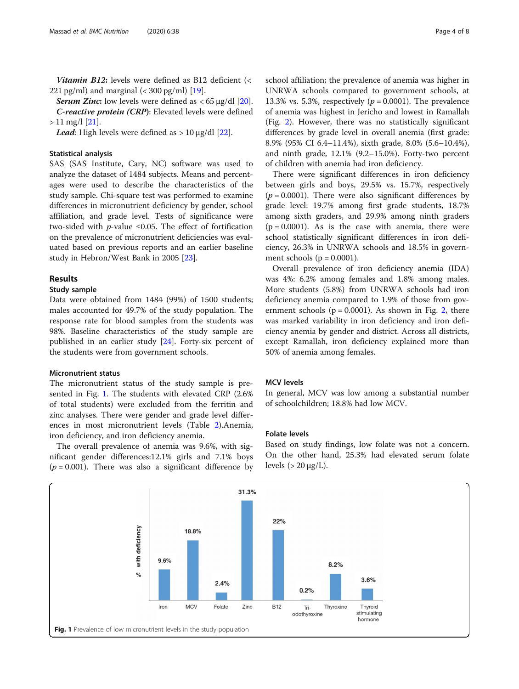Vitamin B12: levels were defined as B12 deficient (< 221 pg/ml) and marginal  $\left($  < 300 pg/ml) [\[19\]](#page-7-0).

**Serum Zinc:** low levels were defined as  $\lt 65 \text{ µg/dl}$  [\[20](#page-7-0)]. C-reactive protein (CRP): Elevated levels were defined  $> 11$  mg/l  $[21]$  $[21]$ .

*Lead*: High levels were defined as  $> 10 \mu g/dl$  [\[22\]](#page-7-0).

#### Statistical analysis

SAS (SAS Institute, Cary, NC) software was used to analyze the dataset of 1484 subjects. Means and percentages were used to describe the characteristics of the study sample. Chi-square test was performed to examine differences in micronutrient deficiency by gender, school affiliation, and grade level. Tests of significance were two-sided with *p*-value  $\leq 0.05$ . The effect of fortification on the prevalence of micronutrient deficiencies was evaluated based on previous reports and an earlier baseline study in Hebron/West Bank in 2005 [[23](#page-7-0)].

# Results

# Study sample

Data were obtained from 1484 (99%) of 1500 students; males accounted for 49.7% of the study population. The response rate for blood samples from the students was 98%. Baseline characteristics of the study sample are published in an earlier study [\[24\]](#page-7-0). Forty-six percent of the students were from government schools.

# Micronutrient status

The micronutrient status of the study sample is presented in Fig. 1. The students with elevated CRP (2.6% of total students) were excluded from the ferritin and zinc analyses. There were gender and grade level differences in most micronutrient levels (Table [2](#page-4-0)).Anemia, iron deficiency, and iron deficiency anemia.

The overall prevalence of anemia was 9.6%, with significant gender differences:12.1% girls and 7.1% boys  $(p = 0.001)$ . There was also a significant difference by school affiliation; the prevalence of anemia was higher in UNRWA schools compared to government schools, at 13.3% vs. 5.3%, respectively ( $p = 0.0001$ ). The prevalence of anemia was highest in Jericho and lowest in Ramallah (Fig. [2](#page-4-0)). However, there was no statistically significant differences by grade level in overall anemia (first grade: 8.9% (95% CI 6.4–11.4%), sixth grade, 8.0% (5.6–10.4%), and ninth grade, 12.1% (9.2–15.0%). Forty-two percent of children with anemia had iron deficiency.

There were significant differences in iron deficiency between girls and boys, 29.5% vs. 15.7%, respectively  $(p = 0.0001)$ . There were also significant differences by grade level: 19.7% among first grade students, 18.7% among sixth graders, and 29.9% among ninth graders  $(p = 0.0001)$ . As is the case with anemia, there were school statistically significant differences in iron deficiency, 26.3% in UNRWA schools and 18.5% in government schools ( $p = 0.0001$ ).

Overall prevalence of iron deficiency anemia (IDA) was 4%: 6.2% among females and 1.8% among males. More students (5.8%) from UNRWA schools had iron deficiency anemia compared to 1.9% of those from government schools ( $p = 0.0001$ ). As shown in Fig. [2,](#page-4-0) there was marked variability in iron deficiency and iron deficiency anemia by gender and district. Across all districts, except Ramallah, iron deficiency explained more than 50% of anemia among females.

#### MCV levels

In general, MCV was low among a substantial number of schoolchildren; 18.8% had low MCV.

#### Folate levels

Based on study findings, low folate was not a concern. On the other hand, 25.3% had elevated serum folate levels  $(> 20 \mu g/L)$ .

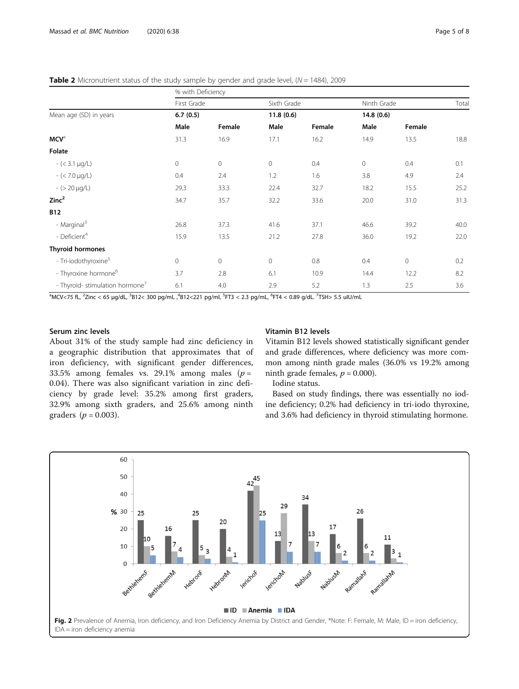<span id="page-4-0"></span>**Table 2** Micronutrient status of the study sample by gender and grade level,  $(N = 1484)$ , 2009

|                                             | % with Deficiency       |         |                          |      |                          |              |       |
|---------------------------------------------|-------------------------|---------|--------------------------|------|--------------------------|--------------|-------|
| Mean age (SD) in years                      | First Grade<br>6.7(0.5) |         | Sixth Grade<br>11.8(0.6) |      | Ninth Grade<br>14.8(0.6) |              | Total |
|                                             |                         |         |                          |      |                          |              |       |
|                                             | <b>MCV</b> <sup>a</sup> | 31.3    | 16.9                     | 17.1 | 16.2                     | 14.9         | 13.5  |
| Folate                                      |                         |         |                          |      |                          |              |       |
| $-$ (< 3.1 $\mu$ g/L)                       | $\mathbf 0$             | $\circ$ | $\mathbf 0$              | 0.4  | 0                        | 0.4          | 0.1   |
| $-$ (< 7.0 $\mu$ g/L)                       | 0.4                     | 2.4     | 1.2                      | 1.6  | 3.8                      | 4.9          | 2.4   |
| $-$ ( $>$ 20 $\mu$ g/L)                     | 29.3                    | 33.3    | 22.4                     | 32.7 | 18.2                     | 15.5         | 25.2  |
| Zinc <sup>2</sup>                           | 34.7                    | 35.7    | 32.2                     | 33.6 | 20.0                     | 31.0         | 31.3  |
| <b>B12</b>                                  |                         |         |                          |      |                          |              |       |
| - Marginal <sup>3</sup>                     | 26.8                    | 37.3    | 41.6                     | 37.1 | 46.6                     | 39.2         | 40.0  |
| - Deficient <sup>4</sup>                    | 15.9                    | 13.5    | 21.2                     | 27.8 | 36.0                     | 19.2         | 22.0  |
| <b>Thyroid hormones</b>                     |                         |         |                          |      |                          |              |       |
| - Tri-iodothyroxine <sup>5</sup>            | $\mathbf{0}$            | 0       | $\mathbf{0}$             | 0.8  | 0.4                      | $\mathbf{0}$ | 0.2   |
| - Thyroxine hormone <sup>6</sup>            | 3.7                     | 2.8     | 6.1                      | 10.9 | 14.4                     | 12.2         | 8.2   |
| - Thyroid- stimulation hormone <sup>7</sup> | 6.1                     | 4.0     | 2.9                      | 5.2  | 1.3                      | 2.5          | 3.6   |

 $^{\rm a}$ MCV<75 fL,  $^{\rm 2}$ Zinc < 65 µg/dL,  $^{\rm 3}$ B12< 300 pg/mL , $^{\rm 4}$ B12<221 pg/ml,  $^{\rm 5}$ FT3 < 2.3 pg/mL,  $^{\rm 6}$ FT4 < 0.89 g/dL.  $^{\rm 7}$ TSH> 5.5 uIU/mL

# Serum zinc levels

About 31% of the study sample had zinc deficiency in a geographic distribution that approximates that of iron deficiency, with significant gender differences, 33.5% among females vs. 29.1% among males ( $p =$ 0.04). There was also significant variation in zinc deficiency by grade level: 35.2% among first graders, 32.9% among sixth graders, and 25.6% among ninth graders ( $p = 0.003$ ).

# Vitamin B12 levels

Vitamin B12 levels showed statistically significant gender and grade differences, where deficiency was more common among ninth grade males (36.0% vs 19.2% among ninth grade females,  $p = 0.000$ ).

Iodine status.

Based on study findings, there was essentially no iodine deficiency; 0.2% had deficiency in tri-iodo thyroxine, and 3.6% had deficiency in thyroid stimulating hormone.

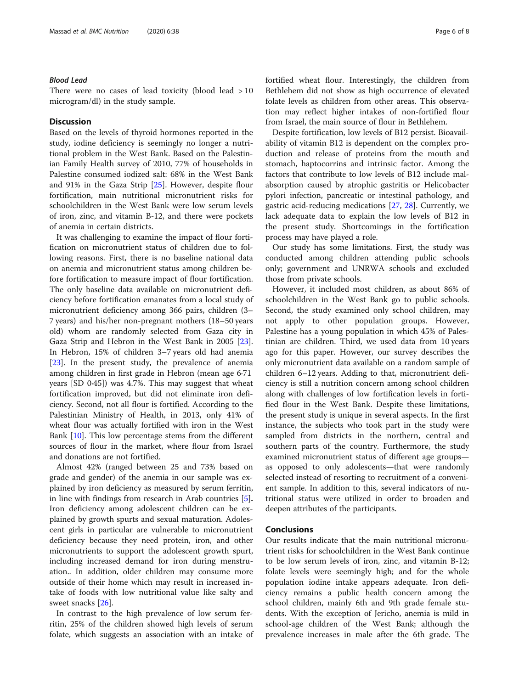# Blood Lead

There were no cases of lead toxicity (blood lead  $>10$ microgram/dl) in the study sample.

# **Discussion**

Based on the levels of thyroid hormones reported in the study, iodine deficiency is seemingly no longer a nutritional problem in the West Bank. Based on the Palestinian Family Health survey of 2010, 77% of households in Palestine consumed iodized salt: 68% in the West Bank and 91% in the Gaza Strip [\[25](#page-7-0)]. However, despite flour fortification, main nutritional micronutrient risks for schoolchildren in the West Bank were low serum levels of iron, zinc, and vitamin B-12, and there were pockets of anemia in certain districts.

It was challenging to examine the impact of flour fortification on micronutrient status of children due to following reasons. First, there is no baseline national data on anemia and micronutrient status among children before fortification to measure impact of flour fortification. The only baseline data available on micronutrient deficiency before fortification emanates from a local study of micronutrient deficiency among 366 pairs, children (3– 7 years) and his/her non-pregnant mothers (18–50 years old) whom are randomly selected from Gaza city in Gaza Strip and Hebron in the West Bank in 2005 [\[23](#page-7-0)]. In Hebron, 15% of children 3–7 years old had anemia [[23\]](#page-7-0). In the present study, the prevalence of anemia among children in first grade in Hebron (mean age 6·71 years [SD 0·45]) was 4.7%. This may suggest that wheat fortification improved, but did not eliminate iron deficiency. Second, not all flour is fortified. According to the Palestinian Ministry of Health, in 2013, only 41% of wheat flour was actually fortified with iron in the West Bank [[10\]](#page-6-0). This low percentage stems from the different sources of flour in the market, where flour from Israel and donations are not fortified.

Almost 42% (ranged between 25 and 73% based on grade and gender) of the anemia in our sample was explained by iron deficiency as measured by serum ferritin, in line with findings from research in Arab countries [[5\]](#page-6-0). Iron deficiency among adolescent children can be explained by growth spurts and sexual maturation. Adolescent girls in particular are vulnerable to micronutrient deficiency because they need protein, iron, and other micronutrients to support the adolescent growth spurt, including increased demand for iron during menstruation.. In addition, older children may consume more outside of their home which may result in increased intake of foods with low nutritional value like salty and sweet snacks [\[26\]](#page-7-0).

In contrast to the high prevalence of low serum ferritin, 25% of the children showed high levels of serum folate, which suggests an association with an intake of fortified wheat flour. Interestingly, the children from Bethlehem did not show as high occurrence of elevated folate levels as children from other areas. This observation may reflect higher intakes of non-fortified flour from Israel, the main source of flour in Bethlehem.

Despite fortification, low levels of B12 persist. Bioavailability of vitamin B12 is dependent on the complex production and release of proteins from the mouth and stomach, haptocorrins and intrinsic factor. Among the factors that contribute to low levels of B12 include malabsorption caused by atrophic gastritis or Helicobacter pylori infection, pancreatic or intestinal pathology, and gastric acid-reducing medications [\[27](#page-7-0), [28](#page-7-0)]. Currently, we lack adequate data to explain the low levels of B12 in the present study. Shortcomings in the fortification process may have played a role.

Our study has some limitations. First, the study was conducted among children attending public schools only; government and UNRWA schools and excluded those from private schools.

However, it included most children, as about 86% of schoolchildren in the West Bank go to public schools. Second, the study examined only school children, may not apply to other population groups. However, Palestine has a young population in which 45% of Palestinian are children. Third, we used data from 10 years ago for this paper. However, our survey describes the only micronutrient data available on a random sample of children 6–12 years. Adding to that, micronutrient deficiency is still a nutrition concern among school children along with challenges of low fortification levels in fortified flour in the West Bank. Despite these limitations, the present study is unique in several aspects. In the first instance, the subjects who took part in the study were sampled from districts in the northern, central and southern parts of the country. Furthermore, the study examined micronutrient status of different age groups as opposed to only adolescents—that were randomly selected instead of resorting to recruitment of a convenient sample. In addition to this, several indicators of nutritional status were utilized in order to broaden and deepen attributes of the participants.

#### Conclusions

Our results indicate that the main nutritional micronutrient risks for schoolchildren in the West Bank continue to be low serum levels of iron, zinc, and vitamin B-12; folate levels were seemingly high; and for the whole population iodine intake appears adequate. Iron deficiency remains a public health concern among the school children, mainly 6th and 9th grade female students. With the exception of Jericho, anemia is mild in school-age children of the West Bank; although the prevalence increases in male after the 6th grade. The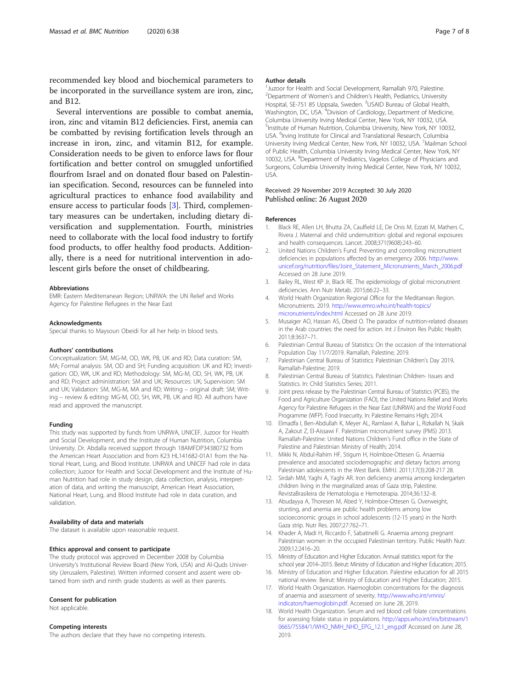<span id="page-6-0"></span>recommended key blood and biochemical parameters to be incorporated in the surveillance system are iron, zinc, and B12.

Several interventions are possible to combat anemia, iron, zinc and vitamin B12 deficiencies. First, anemia can be combatted by revising fortification levels through an increase in iron, zinc, and vitamin B12, for example. Consideration needs to be given to enforce laws for flour fortification and better control on smuggled unfortified flourfrom Israel and on donated flour based on Palestinian specification. Second, resources can be funneled into agricultural practices to enhance food availability and ensure access to particular foods [3]. Third, complementary measures can be undertaken, including dietary diversification and supplementation. Fourth, ministries need to collaborate with the local food industry to fortify food products, to offer healthy food products. Additionally, there is a need for nutritional intervention in adolescent girls before the onset of childbearing.

#### Abbreviations

EMR: Eastern Mediterranean Region; UNRWA: the UN Relief and Works Agency for Palestine Refugees in the Near East

#### Acknowledgments

Special thanks to Maysoun Obeidi for all her help in blood tests.

#### Authors' contributions

Conceptualization: SM, MG-M, OD, WK, PB, UK and RD; Data curation: SM, MA; Formal analysis: SM, OD and SH; Funding acquisition: UK and RD; Investigation: OD, WK, UK and RD; Methodology: SM, MG-M, OD, SH, WK, PB, UK and RD; Project administration: SM and UK; Resources: UK; Supervision: SM and UK; Validation: SM, MG-M, MA and RD; Writing – original draft: SM; Writing – review & editing: MG-M, OD, SH, WK, PB, UK and RD. All authors have read and approved the manuscript.

#### Funding

This study was supported by funds from UNRWA, UNICEF, Juzoor for Health and Social Development, and the Institute of Human Nutrition, Columbia University. Dr. Abdalla received support through 18AMFDP34380732 from the American Heart Association and from K23 HL141682-01A1 from the National Heart, Lung, and Blood Institute. UNRWA and UNICEF had role in data collection; Juzoor for Health and Social Development and the Institute of Human Nutrition had role in study design, data collection, analysis, interpretation of data, and writing the manuscript, American Heart Association, National Heart, Lung, and Blood Institute had role in data curation, and validation.

#### Availability of data and materials

The dataset is available upon reasonable request.

#### Ethics approval and consent to participate

The study protocol was approved in December 2008 by Columbia University's Institutional Review Board (New York, USA) and Al-Quds University (Jerusalem, Palestine). Written informed consent and assent were obtained from sixth and ninth grade students as well as their parents.

#### Consent for publication

Not applicable.

#### Competing interests

The authors declare that they have no competing interests.

#### Author details

<sup>1</sup> Juzoor for Health and Social Development, Ramallah 970, Palestine. <sup>2</sup>Department of Women's and Children's Health, Pediatrics, University Hospital, SE-751 85 Uppsala, Sweden. <sup>3</sup>USAID Bureau of Global Health, Washington, DC, USA. <sup>4</sup>Division of Cardiology, Department of Medicine, Columbia University Irving Medical Center, New York, NY 10032, USA. 5 Institute of Human Nutrition, Columbia University, New York, NY 10032, USA. <sup>6</sup>Irving Institute for Clinical and Translational Research, Columbia University Irving Medical Center, New York, NY 10032, USA. <sup>7</sup>Mailman School of Public Health, Columbia University Irving Medical Center, New York, NY 10032, USA. <sup>8</sup>Department of Pediatrics, Vagelos College of Physicians and Surgeons, Columbia University Irving Medical Center, New York, NY 10032, USA.

#### Received: 29 November 2019 Accepted: 30 July 2020 Published online: 26 August 2020

#### References

- 1. Black RE, Allen LH, Bhutta ZA, Caulfield LE, De Onis M, Ezzati M, Mathers C, Rivera J. Maternal and child undernutrition: global and regional exposures and health consequences. Lancet. 2008;371(9608):243–60.
- 2. United Nations Children's Fund. Preventing and controlling micronutrient deficiencies in populations affected by an emergency 2006. [http://www.](http://www.unicef.org/nutrition/files/Joint_Statement_Micronutrients_March_2006.pdf) [unicef.org/nutrition/files/Joint\\_Statement\\_Micronutrients\\_March\\_2006.pdf](http://www.unicef.org/nutrition/files/Joint_Statement_Micronutrients_March_2006.pdf) Accessed on 28 June 2019.
- 3. Bailey RL, West KP Jr, Black RE. The epidemiology of global micronutrient deficiencies. Ann Nutr Metab. 2015;66:22–33.
- 4. World Health Organization Regional Office for the Meditarrean Region. Micronutrients. 2019. [http://www.emro.who.int/health-topics/](http://www.emro.who.int/health-topics/micronutrients/index.html) [micronutrients/index.html](http://www.emro.who.int/health-topics/micronutrients/index.html) Accessed on 28 June 2019.
- 5. Musaiger AO, Hassan AS, Obeid O. The paradox of nutrition-related diseases in the Arab countries: the need for action. Int J Environ Res Public Health. 2011;8:3637–71.
- 6. Palestinian Central Bureau of Statistics: On the occasion of the International Population Day 11/7/2019. Ramallah, Palestine; 2019.
- 7. Palestinian Central Bureau of Statistics: Palestinian Children's Day 2019. Ramallah-Palestine; 2019.
- 8. Palestinian Central Bureau of Statistics. Palestinian Children- Issues and Statistics. In: Child Statistics Series; 2011.
- 9. Joint press release by the Palestinian Central Bureau of Statistics (PCBS), the Food and Agriculture Organization (FAO), the United Nations Relief and Works Agency for Palestine Refugees in the Near East (UNRWA) and the World Food Programme (WFP). Food Insecurity. In: Palestine Remains High; 2014.
- 10. Elmadfa I, Ben-Abdullah K, Meyer AL, Ramlawi A, Bahar L, Rizkallah N, Skaik A, Zakout Z, El-Aissawi F. Palestinian micronutrient survey (PMS) 2013. Ramallah-Palestine: United Nations Children's Fund office in the State of Palestine and Palestinian Ministry of Health; 2014.
- 11. Mikki N, Abdul-Rahim HF, Stigum H, Holmboe-Ottesen G. Anaemia prevalence and associated sociodemographic and dietary factors among Palestinian adolescents in the West Bank. EMHJ. 2011;17(3):208-217 28.
- 12. Sirdah MM, Yaghi A, Yaghi AR. Iron deficiency anemia among kindergarten children living in the marginalized areas of Gaza strip, Palestine. RevistaBrasileira de Hematologia e Hemoterapia. 2014;36:132–8.
- 13. Abudayya A, Thoresen M, Abed Y, Holmboe-Ottesen G. Overweight, stunting, and anemia are public health problems among low socioeconomic groups in school adolescents (12-15 years) in the North Gaza strip. Nutr Res. 2007;27:762–71.
- 14. Khader A, Madi H, Riccardo F, Sabatinelli G. Anaemia among pregnant Palestinian women in the occupied Palestinian territory. Public Health Nutr. 2009;12:2416–20.
- 15. Ministry of Education and Higher Education. Annual statistics report for the school year 2014–2015. Beirut: Ministry of Education and Higher Education; 2015.
- 16. Ministry of Education and Higher Education. Palestine education for all 2015 national review. Beirut: Ministry of Education and Higher Education; 2015.
- 17. World Health Organization. Haemoglobin concentrations for the diagnosis of anaemia and assessment of severity. [http://www.who.int/vmnis/](http://www.who.int/vmnis/indicators/haemoglobin.pdf) [indicators/haemoglobin.pdf.](http://www.who.int/vmnis/indicators/haemoglobin.pdf) Accessed on June 28, 2019.
- 18. World Health Organization. Serum and red blood cell folate concentrations for assessing folate status in populations. [http://apps.who.int/iris/bitstream/1](http://apps.who.int/iris/bitstream/10665/75584/1/WHO_NMH_NHD_EPG_12.1_eng.pdf) [0665/75584/1/WHO\\_NMH\\_NHD\\_EPG\\_12.1\\_eng.pdf](http://apps.who.int/iris/bitstream/10665/75584/1/WHO_NMH_NHD_EPG_12.1_eng.pdf) Accessed on June 28, 2019.